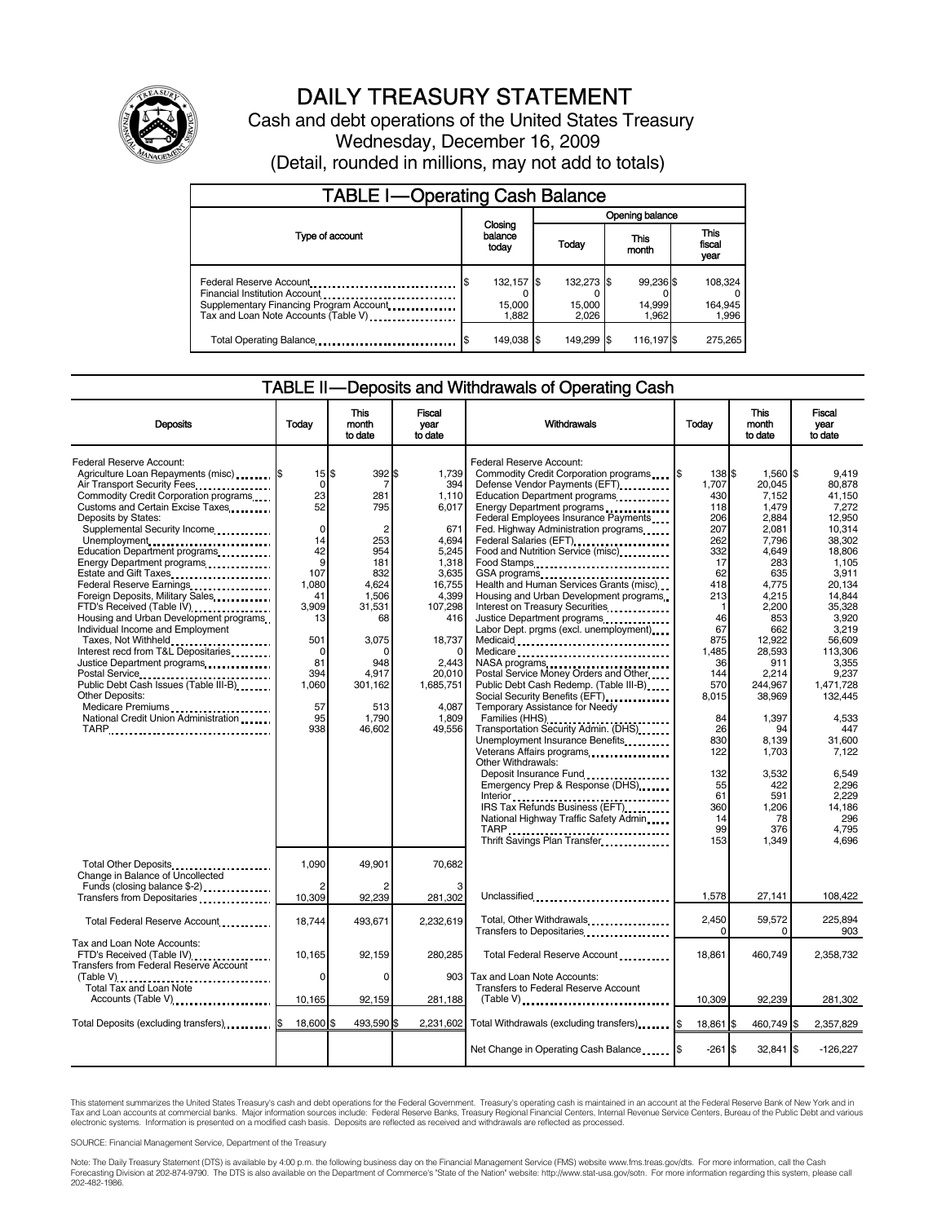

## DAILY TREASURY STATEMENT

Cash and debt operations of the United States Treasury Wednesday, December 16, 2009 (Detail, rounded in millions, may not add to totals)

| <b>TABLE I-Operating Cash Balance</b>                                                                                                                                                    |                                    |                               |                              |                               |  |  |  |
|------------------------------------------------------------------------------------------------------------------------------------------------------------------------------------------|------------------------------------|-------------------------------|------------------------------|-------------------------------|--|--|--|
|                                                                                                                                                                                          |                                    | Opening balance               |                              |                               |  |  |  |
| Type of account                                                                                                                                                                          | Closing<br>balance<br>today        | Today                         | This<br>month                | <b>This</b><br>fiscal<br>year |  |  |  |
| Federal Reserve Account<br>Financial Institution Account<br>Supplementary Financing Program Account.<br>Tax and Loan Note Accounts (Table V) <b>Tax and Loan Note Accounts</b> (Table V) | 132,157 \$<br>S<br>15,000<br>1.882 | 132,273 \$<br>15,000<br>2.026 | 99,236 \$<br>14,999<br>1.962 | 108.324<br>164,945<br>1,996   |  |  |  |
| Total Operating Balance                                                                                                                                                                  | 149,038 \$<br>S                    | 149.299 \$                    | 116,197 \$                   | 275.265                       |  |  |  |

#### TABLE II — Deposits and Withdrawals of Operating Cash

| <b>Deposits</b>                                                    | Todav              | <b>This</b><br>month<br>to date | Fiscal<br>year<br>to date | <b>Withdrawals</b>                                                                                                                                                                                                              | Todav     | <b>This</b><br>month<br>to date | <b>Fiscal</b><br>year<br>to date |
|--------------------------------------------------------------------|--------------------|---------------------------------|---------------------------|---------------------------------------------------------------------------------------------------------------------------------------------------------------------------------------------------------------------------------|-----------|---------------------------------|----------------------------------|
| Federal Reserve Account:<br>Agriculture Loan Repayments (misc) [\$ | $15$ $\frac{1}{3}$ | 392 \$                          | 1,739                     | Federal Reserve Account:<br>Commodity Credit Corporation programs                                                                                                                                                               | 138 \$    | 1,560 \$                        | 9,419                            |
| Air Transport Security Fees                                        | 0                  |                                 | 394                       | Defense Vendor Payments (EFT)                                                                                                                                                                                                   | 1,707     | 20.045                          | 80.878                           |
|                                                                    | 23                 | 281                             |                           |                                                                                                                                                                                                                                 | 430       | 7,152                           | 41.150                           |
| Commodity Credit Corporation programs                              |                    |                                 | 1,110                     | Education Department programs                                                                                                                                                                                                   |           |                                 |                                  |
| Customs and Certain Excise Taxes                                   | 52                 | 795                             | 6,017                     | Energy Department programs                                                                                                                                                                                                      | 118       | 1,479                           | 7,272                            |
| Deposits by States:                                                |                    |                                 |                           | Federal Employees Insurance Payments                                                                                                                                                                                            | 206       | 2,884                           | 12,950                           |
| Supplemental Security Income                                       | $\Omega$           | 2                               | 671                       | Fed. Highway Administration programs                                                                                                                                                                                            | 207       | 2,081                           | 10.314                           |
| Unemployment                                                       | 14                 | 253                             | 4,694                     | Federal Salaries (EFT)<br>1991 - Production Contract Contract Contract Contract Contract Contract Contract Contract Contract Contract Contract Contract Contract Contract Contract Contract Contract Contract Contract Contract | 262       | 7,796                           | 38,302                           |
| Education Department programs                                      | 42                 | 954                             | 5,245                     | Food and Nutrition Service (misc)                                                                                                                                                                                               | 332       | 4,649                           | 18,806                           |
| Energy Department programs<br>                                     | 9                  | 181                             | 1,318                     | Food Stamps                                                                                                                                                                                                                     | 17        | 283                             | 1,105                            |
| Estate and Gift Taxes                                              | 107                | 832                             | 3,635                     | GSA programs<br>Health and Human Services Grants (misc)                                                                                                                                                                         | 62        | 635                             | 3,911                            |
| Federal Reserve Earnings.                                          | 1,080              | 4,624                           | 16,755                    |                                                                                                                                                                                                                                 | 418       | 4,775                           | 20,134                           |
| Foreign Deposits, Military Sales                                   | 41                 | 1,506                           | 4,399                     | Housing and Urban Development programs                                                                                                                                                                                          | 213       | 4,215                           | 14.844                           |
| FTD's Received (Table IV)                                          | 3.909              | 31,531                          | 107,298                   | Interest on Treasury Securities                                                                                                                                                                                                 | 1         | 2,200                           | 35,328                           |
| Housing and Urban Development programs                             | 13                 | 68                              | 416                       |                                                                                                                                                                                                                                 | 46        | 853                             | 3.920                            |
| Individual Income and Employment                                   |                    |                                 |                           | Labor Dept. prgms (excl. unemployment)                                                                                                                                                                                          | 67        | 662                             | 3,219                            |
| Taxes, Not Withheld                                                | 501                | 3,075                           | 18,737                    |                                                                                                                                                                                                                                 | 875       | 12,922                          | 56.609                           |
| Interest recd from T&L Depositaries                                | 0                  |                                 | $\Omega$                  | Medicaid<br>Medicare                                                                                                                                                                                                            | 1.485     | 28,593                          | 113,306                          |
| Justice Department programs                                        | 81                 | 948                             | 2.443                     | NASA programs                                                                                                                                                                                                                   | 36        | 911                             | 3.355                            |
|                                                                    | 394                | 4.917                           | 20,010                    | Postal Service Money Orders and Other                                                                                                                                                                                           | 144       | 2,214                           | 9,237                            |
| Public Debt Cash Issues (Table III-B)                              | 1,060              | 301,162                         | 1,685,751                 | Public Debt Cash Redemp. (Table III-B)                                                                                                                                                                                          | 570       | 244.967                         | 1,471,728                        |
| Other Deposits:                                                    |                    |                                 |                           | Social Security Benefits (EFT) [1001]                                                                                                                                                                                           | 8.015     | 38.969                          | 132,445                          |
|                                                                    | 57                 | 513                             | 4.087                     | Temporary Assistance for Needy                                                                                                                                                                                                  |           |                                 |                                  |
| Medicare Premiums<br>National Credit Union Administration          | 95                 | 1,790                           | 1,809                     |                                                                                                                                                                                                                                 | 84        | 1,397                           | 4,533                            |
|                                                                    | 938                | 46.602                          | 49.556                    | Families (HHS)                                                                                                                                                                                                                  | 26        | 94                              | 447                              |
| TARP                                                               |                    |                                 |                           | Transportation Security Admin. (DHS)                                                                                                                                                                                            | 830       |                                 |                                  |
|                                                                    |                    |                                 |                           | Unemployment Insurance Benefits                                                                                                                                                                                                 |           | 8.139                           | 31.600                           |
|                                                                    |                    |                                 |                           | Veterans Affairs programs                                                                                                                                                                                                       | 122       | 1,703                           | 7,122                            |
|                                                                    |                    |                                 |                           | Other Withdrawals:                                                                                                                                                                                                              |           |                                 |                                  |
|                                                                    |                    |                                 |                           | Deposit Insurance Fund                                                                                                                                                                                                          | 132       | 3.532                           | 6.549                            |
|                                                                    |                    |                                 |                           | Emergency Prep & Response (DHS)                                                                                                                                                                                                 | 55        | 422                             | 2.296                            |
|                                                                    |                    |                                 |                           |                                                                                                                                                                                                                                 | 61        | 591                             | 2.229                            |
|                                                                    |                    |                                 |                           | IRS Tax Refunds Business (EFT)                                                                                                                                                                                                  | 360       | 1,206                           | 14.186                           |
|                                                                    |                    |                                 |                           | National Highway Traffic Safety Admin                                                                                                                                                                                           | 14        | 78                              | 296                              |
|                                                                    |                    |                                 |                           |                                                                                                                                                                                                                                 | 99        | 376                             | 4.795                            |
|                                                                    |                    |                                 |                           | TARP<br>TARP<br>Thrift Savings Plan Transfer                                                                                                                                                                                    | 153       | 1,349                           | 4.696                            |
|                                                                    |                    |                                 |                           |                                                                                                                                                                                                                                 |           |                                 |                                  |
| Total Other Deposits                                               | 1.090              | 49,901                          | 70,682                    |                                                                                                                                                                                                                                 |           |                                 |                                  |
| Change in Balance of Uncollected                                   |                    |                                 |                           |                                                                                                                                                                                                                                 |           |                                 |                                  |
| Funds (closing balance \$-2)                                       |                    |                                 |                           |                                                                                                                                                                                                                                 |           |                                 |                                  |
| Transfers from Depositaries                                        | 10,309             | 92,239                          | 281,302                   | Unclassified                                                                                                                                                                                                                    | 1,578     | 27,141                          | 108,422                          |
|                                                                    |                    |                                 |                           |                                                                                                                                                                                                                                 |           |                                 |                                  |
| Total Federal Reserve Account                                      | 18.744             | 493.671                         | 2.232.619                 | Total, Other Withdrawals<br>1991 - The Lines of The Withdrawals                                                                                                                                                                 | 2,450     | 59,572                          | 225,894                          |
|                                                                    |                    |                                 |                           |                                                                                                                                                                                                                                 | $\Omega$  | 0                               | 903                              |
| Tax and Loan Note Accounts:                                        |                    |                                 |                           |                                                                                                                                                                                                                                 |           |                                 |                                  |
| FTD's Received (Table IV)                                          | 10.165             | 92.159                          | 280,285                   | Total Federal Reserve Account                                                                                                                                                                                                   | 18.861    | 460,749                         | 2.358.732                        |
| <b>Transfers from Federal Reserve Account</b>                      |                    |                                 |                           |                                                                                                                                                                                                                                 |           |                                 |                                  |
|                                                                    | $\Omega$           | $\Omega$                        | 903                       | Tax and Loan Note Accounts:                                                                                                                                                                                                     |           |                                 |                                  |
| Total Tax and Loan Note                                            |                    |                                 |                           | Transfers to Federal Reserve Account                                                                                                                                                                                            |           |                                 |                                  |
| Accounts (Table V)                                                 | 10,165             | 92,159                          | 281,188                   | $(Table V)$                                                                                                                                                                                                                     | 10,309    | 92,239                          | 281,302                          |
|                                                                    |                    |                                 |                           |                                                                                                                                                                                                                                 |           |                                 |                                  |
| Total Deposits (excluding transfers) 5                             | 18,600 \$          | 493,590 \$                      | 2,231,602                 | Total Withdrawals (excluding transfers) [8]                                                                                                                                                                                     | 18,861 \$ | 460,749 \$                      | 2,357,829                        |
|                                                                    |                    |                                 |                           |                                                                                                                                                                                                                                 |           |                                 |                                  |
|                                                                    |                    |                                 |                           | Net Change in Operating Cash Balance                                                                                                                                                                                            | $-261S$   | $32,841$ \$                     | $-126,227$                       |
|                                                                    |                    |                                 |                           |                                                                                                                                                                                                                                 |           |                                 |                                  |

This statement summarizes the United States Treasury's cash and debt operations for the Federal Government. Treasury's operating cash is maintained in an account at the Federal Reserve Bank of New York and in<br>Tax and Loan

SOURCE: Financial Management Service, Department of the Treasury

Note: The Daily Treasury Statement (DTS) is available by 4:00 p.m. the following business day on the Financial Management Service (FMS) website www.fms.treas.gov/dts. For more information, call the Cash<br>Forecasting Divisio